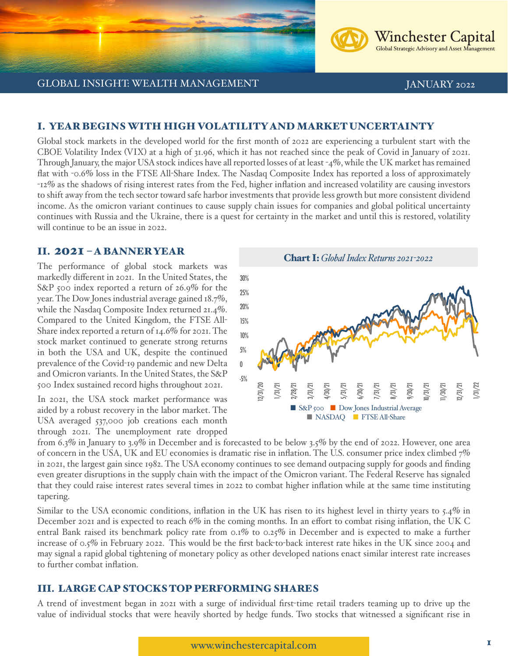**Winchester Capital** Global Strategic Advisory and Asset Management

## I. YEAR BEGINS WITH HIGH VOLATILITY AND MARKET UNCERTAINTY

Global stock markets in the developed world for the first month of 2022 are experiencing a turbulent start with the CBOE Volatility Index (VIX) at a high of 31.96, which it has not reached since the peak of Covid in January of 2021. Through January, the major USA stock indices have all reported losses of at least -4%, while the UK market has remained flat with -0.6% loss in the FTSE All-Share Index. The Nasdaq Composite Index has reported a loss of approximately -12% as the shadows of rising interest rates from the Fed, higher inflation and increased volatility are causing investors to shift away from the tech sector toward safe harbor investments that provide less growth but more consistent dividend income. As the omicron variant continues to cause supply chain issues for companies and global political uncertainty continues with Russia and the Ukraine, there is a quest for certainty in the market and until this is restored, volatility will continue to be an issue in 2022.

## II. 2021 – A BANNER YEAR

The performance of global stock markets was markedly different in 2021. In the United States, the S&P 500 index reported a return of 26.9% for the year. The Dow Jones industrial average gained 18.7%, while the Nasdaq Composite Index returned 21.4%. Compared to the United Kingdom, the FTSE All-Share index reported a return of 14.6% for 2021. The stock market continued to generate strong returns in both the USA and UK, despite the continued prevalence of the Covid-19 pandemic and new Delta and Omicron variants. In the United States, the S&P 500 Index sustained record highs throughout 2021.

In 2021, the USA stock market performance was aided by a robust recovery in the labor market. The USA averaged 537,000 job creations each month through 2021. The unemployment rate dropped



from 6.3% in January to 3.9% in December and is forecasted to be below 3.5% by the end of 2022. However, one area of concern in the USA, UK and EU economies is dramatic rise in inflation. The U.S. consumer price index climbed 7% in 2021, the largest gain since 1982. The USA economy continues to see demand outpacing supply for goods and finding even greater disruptions in the supply chain with the impact of the Omicron variant. The Federal Reserve has signaled that they could raise interest rates several times in 2022 to combat higher inflation while at the same time instituting tapering.

Similar to the USA economic conditions, inflation in the UK has risen to its highest level in thirty years to 5.4% in December 2021 and is expected to reach 6% in the coming months. In an effort to combat rising inflation, the UK C entral Bank raised its benchmark policy rate from 0.1% to 0.25% in December and is expected to make a further increase of 0.5% in February 2022. This would be the first back-to-back interest rate hikes in the UK since 2004 and may signal a rapid global tightening of monetary policy as other developed nations enact similar interest rate increases to further combat inflation.

## III. LARGE CAP STOCKS TOP PERFORMING SHARES

A trend of investment began in 2021 with a surge of individual first-time retail traders teaming up to drive up the value of individual stocks that were heavily shorted by hedge funds. Two stocks that witnessed a significant rise in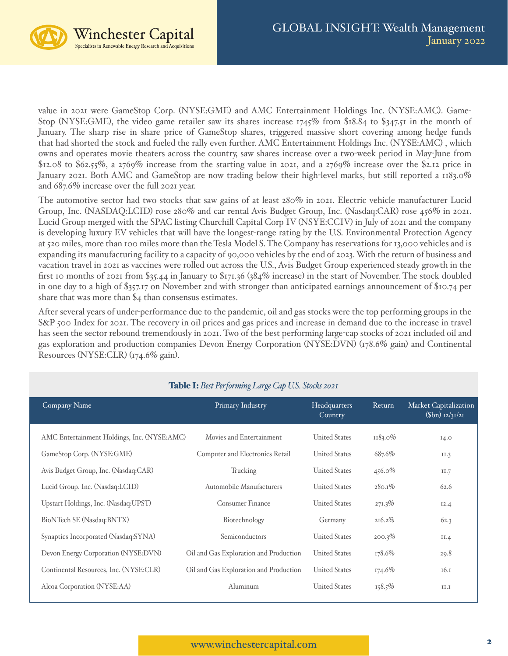

value in 2021 were GameStop Corp. (NYSE:GME) and AMC Entertainment Holdings Inc. (NYSE:AMC). Game-Stop (NYSE:GME), the video game retailer saw its shares increase 1745% from \$18.84 to \$347.51 in the month of January. The sharp rise in share price of GameStop shares, triggered massive short covering among hedge funds that had shorted the stock and fueled the rally even further. AMC Entertainment Holdings Inc. (NYSE:AMC) , which owns and operates movie theaters across the country, saw shares increase over a two-week period in May-June from \$12.08 to \$62.55%, a 2769% increase from the starting value in 2021, and a 2769% increase over the \$2.12 price in January 2021. Both AMC and GameStop are now trading below their high-level marks, but still reported a 1183.0% and 687.6% increase over the full 2021 year.

The automotive sector had two stocks that saw gains of at least 280% in 2021. Electric vehicle manufacturer Lucid Group, Inc. (NASDAQ:LCID) rose 280% and car rental Avis Budget Group, Inc. (Nasdaq:CAR) rose 456% in 2021. Lucid Group merged with the SPAC listing Churchill Capital Corp IV (NSYE:CCIV) in July of 2021 and the company is developing luxury EV vehicles that will have the longest-range rating by the U.S. Environmental Protection Agency at 520 miles, more than 100 miles more than the Tesla Model S. The Company has reservations for 13,000 vehicles and is expanding its manufacturing facility to a capacity of 90,000 vehicles by the end of 2023. With the return of business and vacation travel in 2021 as vaccines were rolled out across the U.S., Avis Budget Group experienced steady growth in the first 10 months of 2021 from \$35.44 in January to \$171.36 (384% increase) in the start of November. The stock doubled in one day to a high of \$357.17 on November 2nd with stronger than anticipated earnings announcement of \$10.74 per share that was more than \$4 than consensus estimates.

After several years of under-performance due to the pandemic, oil and gas stocks were the top performing groups in the S&P 500 Index for 2021. The recovery in oil prices and gas prices and increase in demand due to the increase in travel has seen the sector rebound tremendously in 2021. Two of the best performing large-cap stocks of 2021 included oil and gas exploration and production companies Devon Energy Corporation (NYSE:DVN) (178.6% gain) and Continental Resources (NYSE:CLR) (174.6% gain).

| Company Name                                | Primary Industry                       | Headquarters<br>Country | Return     | Market Capitalization<br>$(\int \ln 2/3I/2I)$ |
|---------------------------------------------|----------------------------------------|-------------------------|------------|-----------------------------------------------|
| AMC Entertainment Holdings, Inc. (NYSE:AMC) | Movies and Entertainment               | <b>United States</b>    | $1183.0\%$ | 14.0                                          |
| GameStop Corp. (NYSE:GME)                   | Computer and Electronics Retail        | <b>United States</b>    | 687.6%     | II.3                                          |
| Avis Budget Group, Inc. (Nasdaq:CAR)        | Trucking                               | <b>United States</b>    | $456.0\%$  | II.7                                          |
| Lucid Group, Inc. (Nasdaq:LCID)             | Automobile Manufacturers               | <b>United States</b>    | $280.1\%$  | 62.6                                          |
| Upstart Holdings, Inc. (Nasdaq:UPST)        | Consumer Finance                       | <b>United States</b>    | $271.3\%$  | 12.4                                          |
| BioNTech SE (Nasdaq:BNTX)                   | Biotechnology                          | Germany                 | 216.2%     | 62.3                                          |
| Synaptics Incorporated (Nasdaq:SYNA)        | Semiconductors                         | <b>United States</b>    | 200.3%     | II.4                                          |
| Devon Energy Corporation (NYSE:DVN)         | Oil and Gas Exploration and Production | <b>United States</b>    | 178.6%     | 29.8                                          |
| Continental Resources, Inc. (NYSE:CLR)      | Oil and Gas Exploration and Production | <b>United States</b>    | 174.6%     | 16.1                                          |
| Alcoa Corporation (NYSE:AA)                 | Aluminum                               | <b>United States</b>    | $158.5\%$  | II.I                                          |

# Table I: *Best Performing Large Cap U.S. Stocks 2021*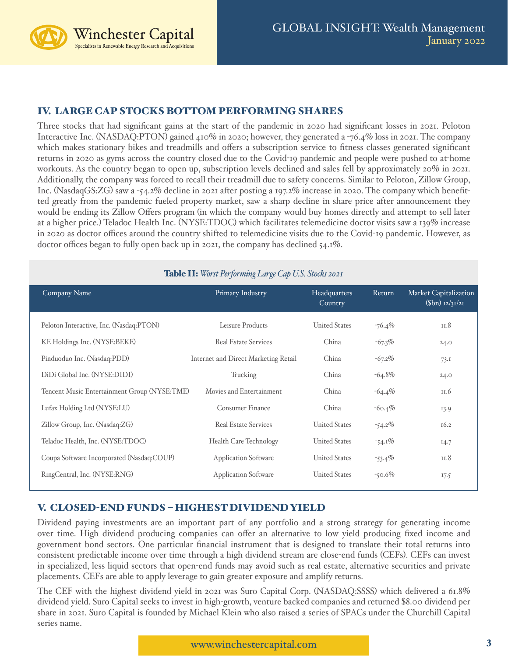Winchester Capital Specialists in Renewable Energy Research and Acquisitions

# IV. LARGE CAP STOCKS BOTTOM PERFORMING SHARES

Three stocks that had significant gains at the start of the pandemic in 2020 had significant losses in 2021. Peloton Interactive Inc. (NASDAQ:PTON) gained 410% in 2020; however, they generated a -76.4% loss in 2021. The company which makes stationary bikes and treadmills and offers a subscription service to fitness classes generated significant returns in 2020 as gyms across the country closed due to the Covid-19 pandemic and people were pushed to at-home workouts. As the country began to open up, subscription levels declined and sales fell by approximately 20% in 2021. Additionally, the company was forced to recall their treadmill due to safety concerns. Similar to Peloton, Zillow Group, Inc. (NasdaqGS:ZG) saw a -54.2% decline in 2021 after posting a 197.2% increase in 2020. The company which benefitted greatly from the pandemic fueled property market, saw a sharp decline in share price after announcement they would be ending its Zillow Offers program (in which the company would buy homes directly and attempt to sell later at a higher price.) Teladoc Health Inc. (NYSE:TDOC) which facilitates telemedicine doctor visits saw a 139% increase in 2020 as doctor offices around the country shifted to telemedicine visits due to the Covid-19 pandemic. However, as doctor offices began to fully open back up in 2021, the company has declined 54.1%.

| Company Name                                 | Primary Industry                     | Headquarters<br>Country | Return    | Market Capitalization<br>$(\int \ln 1/2/31/21)$ |
|----------------------------------------------|--------------------------------------|-------------------------|-----------|-------------------------------------------------|
| Peloton Interactive, Inc. (Nasdaq:PTON)      | Leisure Products                     | <b>United States</b>    | $-76.4\%$ | 11.8                                            |
| KE Holdings Inc. (NYSE:BEKE)                 | <b>Real Estate Services</b>          | China                   | $-67.3\%$ | 24.0                                            |
| Pinduoduo Inc. (Nasdaq:PDD)                  | Internet and Direct Marketing Retail | China                   | $-67.2\%$ | 73.1                                            |
| DiDi Global Inc. (NYSE:DIDI)                 | Trucking                             | China                   | $-64.8\%$ | 24.0                                            |
| Tencent Music Entertainment Group (NYSE:TME) | Movies and Entertainment             | China                   | $-64.4\%$ | II.6                                            |
| Lufax Holding Ltd (NYSE:LU)                  | <b>Consumer Finance</b>              | China                   | $-60.4\%$ | 13.9                                            |
| Zillow Group, Inc. (Nasdaq:ZG)               | <b>Real Estate Services</b>          | <b>United States</b>    | $-54.2\%$ | 16.2                                            |
| Teladoc Health, Inc. (NYSE:TDOC)             | <b>Health Care Technology</b>        | <b>United States</b>    | $-54.1\%$ | 14.7                                            |
| Coupa Software Incorporated (Nasdaq:COUP)    | <b>Application Software</b>          | <b>United States</b>    | $-53.4\%$ | II.8                                            |
| RingCentral, Inc. (NYSE:RNG)                 | <b>Application Software</b>          | <b>United States</b>    | $-50.6\%$ | 17.5                                            |

## Table II: *Worst Performing Large Cap U.S. Stocks 2021*

# V. CLOSED-END FUNDS – HIGHEST DIVIDEND YIELD

Dividend paying investments are an important part of any portfolio and a strong strategy for generating income over time. High dividend producing companies can offer an alternative to low yield producing fixed income and government bond sectors. One particular financial instrument that is designed to translate their total returns into consistent predictable income over time through a high dividend stream are close-end funds (CEFs). CEFs can invest in specialized, less liquid sectors that open-end funds may avoid such as real estate, alternative securities and private placements. CEFs are able to apply leverage to gain greater exposure and amplify returns.

The CEF with the highest dividend yield in 2021 was Suro Capital Corp. (NASDAQ:SSSS) which delivered a 61.8% dividend yield. Suro Capital seeks to invest in high-growth, venture backed companies and returned \$8.00 dividend per share in 2021. Suro Capital is founded by Michael Klein who also raised a series of SPACs under the Churchill Capital series name.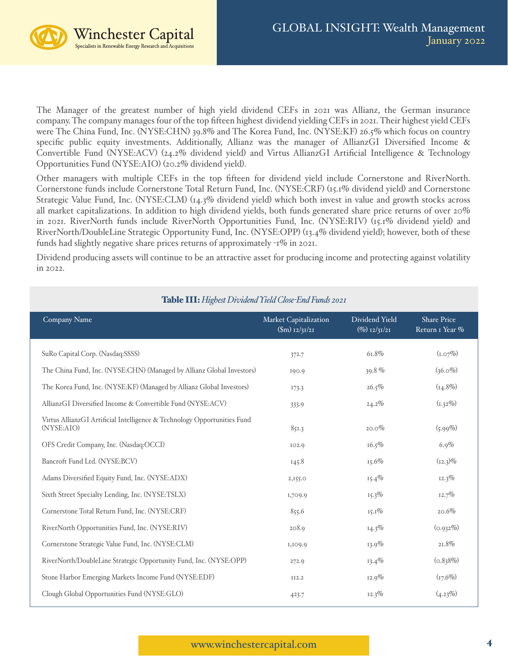

The Manager of the greatest number of high yield dividend CEFs in 2021 was Allianz, the German insurance company. The company manages four of the top fifteen highest dividend yielding CEFs in 2021. Their highest yield CEFs were The China Fund, Inc. (NYSE:CHN) 39.8% and The Korea Fund, Inc. (NYSE:KF) 26.5% which focus on country specific public equity investments. Additionally, Allianz was the manager of AllianzGI Diversified Income & Convertible Fund (NYSE:ACV) (24.2% dividend yield) and Virtus AllianzGI Artificial Intelligence & Technology Opportunities Fund (NYSE:AIO) (20.2% dividend yield).

Other managers with multiple CEFs in the top fifteen for dividend yield include Cornerstone and RiverNorth. Cornerstone funds include Cornerstone Total Return Fund, Inc. (NYSE:CRF) (15.1% dividend yield) and Cornerstone Strategic Value Fund, Inc. (NYSE:CLM) (14.3% dividend yield) which both invest in value and growth stocks across all market capitalizations. In addition to high dividend yields, both funds generated share price returns of over 20% in 2021. RiverNorth funds include RiverNorth Opportunities Fund, Inc. (NYSE:RIV) (15.1% dividend yield) and RiverNorth/DoubleLine Strategic Opportunity Fund, Inc. (NYSE:OPP) (13.4% dividend yield); however, both of these funds had slightly negative share prices returns of approximately -1% in 2021.

Dividend producing assets will continue to be an attractive asset for producing income and protecting against volatility in 2022.

| Company Name                                                                           | <b>Market Capitalization</b><br>$(Sm)$ 12/31/21 | Dividend Yield<br>$(\%)$ 12/31/21 | <b>Share Price</b><br>Return I Year % |
|----------------------------------------------------------------------------------------|-------------------------------------------------|-----------------------------------|---------------------------------------|
| SuRo Capital Corp. (Nasdaq:SSSS)                                                       | 372.7                                           | 61.8%                             | $(I.07\%)$                            |
| The China Fund, Inc. (NYSE:CHN) (Managed by Allianz Global Investors)                  | 190.9                                           | 39.8%                             | $(36.0\%)$                            |
| The Korea Fund, Inc. (NYSE:KF) (Managed by Allianz Global Investors)                   | 173.3                                           | 26.5%                             | $(14.8\%)$                            |
| AllianzGI Diversified Income & Convertible Fund (NYSE:ACV)                             | 333.9                                           | $24.2\%$                          | $(1.32\%)$                            |
| Virtus AllianzGI Artificial Intelligence & Technology Opportunities Fund<br>(NYSE:AIO) | 851.3                                           | $20.0\%$                          | $(5.99\%)$                            |
| OFS Credit Company, Inc. (Nasdaq:OCCI)                                                 | IO2.9                                           | 16.5%                             | 6.9%                                  |
| Bancroft Fund Ltd. (NYSE:BCV)                                                          | 145.8                                           | 15.6%                             | $(12.3)\%$                            |
| Adams Diversified Equity Fund, Inc. (NYSE:ADX)                                         | 2,155.0                                         | $15.4\%$                          | 12.3%                                 |
| Sixth Street Specialty Lending, Inc. (NYSE:TSLX)                                       | 1,709.9                                         | $15.3\%$                          | 12.7%                                 |
| Cornerstone Total Return Fund, Inc. (NYSE:CRF)                                         | 855.6                                           | $15.1\%$                          | 20.6%                                 |
| RiverNorth Opportunities Fund, Inc. (NYSE:RIV)                                         | 208.9                                           | $14.3\%$                          | (0.932%)                              |
| Cornerstone Strategic Value Fund, Inc. (NYSE:CLM)                                      | 1,109.9                                         | $13.9\%$                          | $21.8\%$                              |
| RiverNorth/DoubleLine Strategic Opportunity Fund, Inc. (NYSE:OPP)                      | 272.9                                           | $13.4\%$                          | (0.838%)                              |
| Stone Harbor Emerging Markets Income Fund (NYSE:EDF)                                   | II2.2                                           | $12.9\%$                          | $(r_{7.6}\%)$                         |
| Clough Global Opportunities Fund (NYSE:GLO)                                            | 423.7                                           | $12.3\%$                          | (4.23%)                               |

## Table III: *Highest Dividend Yield Close-End Funds 2021*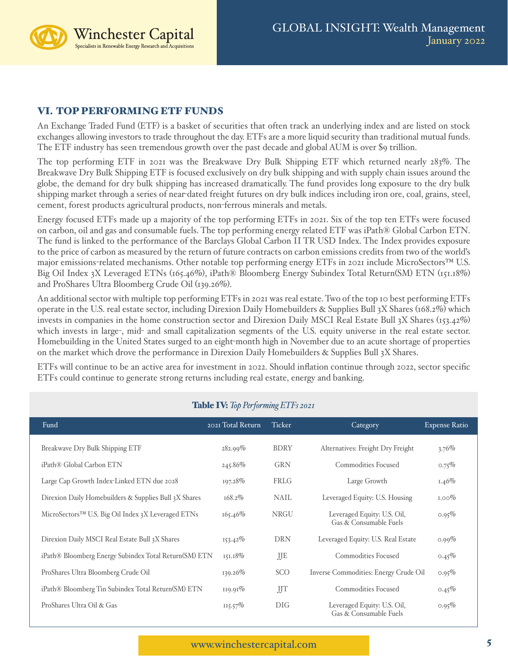Winchester Capital Specialists in Renewable Energy Research and Acquisitions

# VI. TOP PERFORMING ETF FUNDS

An Exchange Traded Fund (ETF) is a basket of securities that often track an underlying index and are listed on stock exchanges allowing investors to trade throughout the day. ETFs are a more liquid security than traditional mutual funds. The ETF industry has seen tremendous growth over the past decade and global AUM is over \$9 trillion.

The top performing ETF in 2021 was the Breakwave Dry Bulk Shipping ETF which returned nearly 283%. The Breakwave Dry Bulk Shipping ETF is focused exclusively on dry bulk shipping and with supply chain issues around the globe, the demand for dry bulk shipping has increased dramatically. The fund provides long exposure to the dry bulk shipping market through a series of near-dated freight futures on dry bulk indices including iron ore, coal, grains, steel, cement, forest products agricultural products, non-ferrous minerals and metals.

Energy focused ETFs made up a majority of the top performing ETFs in 2021. Six of the top ten ETFs were focused on carbon, oil and gas and consumable fuels. The top performing energy related ETF was iPath® Global Carbon ETN. The fund is linked to the performance of the Barclays Global Carbon II TR USD Index. The Index provides exposure to the price of carbon as measured by the return of future contracts on carbon emissions credits from two of the world's major emissions-related mechanisms. Other notable top performing energy ETFs in 2021 include MicroSectors™ U.S. Big Oil Index 3X Leveraged ETNs (165.46%), iPath® Bloomberg Energy Subindex Total Return(SM) ETN (151.18%) and ProShares Ultra Bloomberg Crude Oil (139.26%).

An additional sector with multiple top performing ETFs in 2021 was real estate. Two of the top 10 best performing ETFs operate in the U.S. real estate sector, including Direxion Daily Homebuilders & Supplies Bull 3X Shares (168.2%) which invests in companies in the home construction sector and Direxion Daily MSCI Real Estate Bull  $3X$  Shares (153.42%) which invests in large-, mid- and small capitalization segments of the U.S. equity universe in the real estate sector. Homebuilding in the United States surged to an eight-month high in November due to an acute shortage of properties on the market which drove the performance in Direxion Daily Homebuilders & Supplies Bull 3X Shares.

ETFs will continue to be an active area for investment in 2022. Should inflation continue through 2022, sector specific ETFs could continue to generate strong returns including real estate, energy and banking.

| Fund                                                           | 2021 Total Return | <b>Ticker</b> | Category                                              | <b>Expense Ratio</b> |
|----------------------------------------------------------------|-------------------|---------------|-------------------------------------------------------|----------------------|
| Breakwave Dry Bulk Shipping ETF                                | $282.99\%$        | <b>BDRY</b>   | Alternatives: Freight Dry Freight                     | $3.76\%$             |
| iPath® Global Carbon ETN                                       | 245.86%           | <b>GRN</b>    | <b>Commodities Focused</b>                            | $0.75\%$             |
| Large Cap Growth Index-Linked ETN due 2028                     | 197.28%           | FRLG          | Large Growth                                          | $1.46\%$             |
| Direxion Daily Homebuilders & Supplies Bull 3X Shares          | $168.2\%$         | <b>NAIL</b>   | Leveraged Equity: U.S. Housing                        | $1.00\%$             |
| MicroSectors <sup>™</sup> U.S. Big Oil Index 3X Leveraged ETNs | 165.46%           | <b>NRGU</b>   | Leveraged Equity: U.S. Oil,<br>Gas & Consumable Fuels | 0.95%                |
| Direxion Daily MSCI Real Estate Bull 3X Shares                 | $153.42\%$        | <b>DRN</b>    | Leveraged Equity: U.S. Real Estate                    | $0.99\%$             |
| iPath® Bloomberg Energy Subindex Total Return(SM) ETN          | 151.18%           | JJE           | <b>Commodities Focused</b>                            | $0.45\%$             |
| ProShares Ultra Bloomberg Crude Oil                            | $139.26\%$        | SCO           | Inverse Commodities: Energy Crude Oil                 | 0.95%                |
| iPath® Bloomberg Tin Subindex Total Return(SM) ETN             | $119.91\%$        | JJT           | <b>Commodities Focused</b>                            | $0.45\%$             |
| ProShares Ultra Oil & Gas                                      | $115.57\%$        | <b>DIG</b>    | Leveraged Equity: U.S. Oil,<br>Gas & Consumable Fuels | 0.95%                |

# Table IV: *Top Performing ETFs 2021*